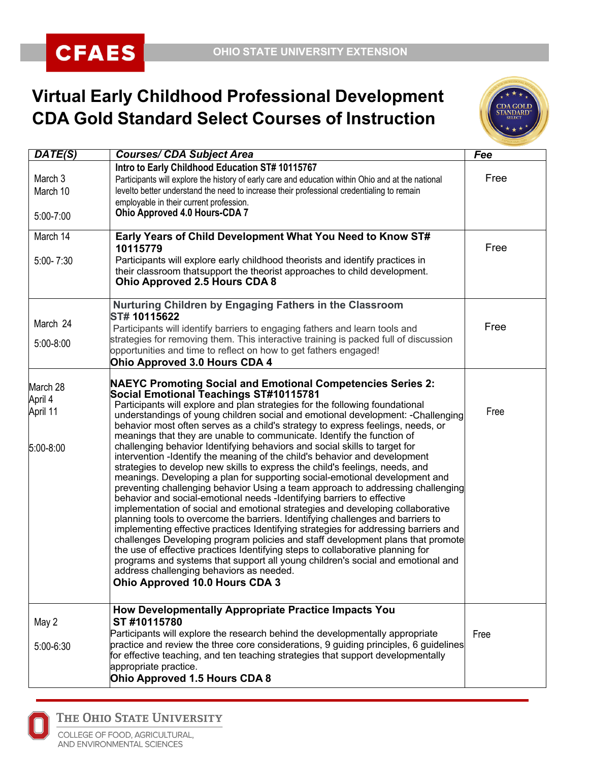## **Virtual Early Childhood Professional Development CDA Gold Standard Select Courses of Instruction**



| DATE(S)                                      | <b>Courses/ CDA Subject Area</b>                                                                                                                                                                                                                                                                                                                                                                                                                                                                                                                                                                                                                                                                                                                                                                                                                                                                                                                                                                                                                                                                                                                                                                                                                                                                                                                                                                                                                                                                                                         | Fee  |
|----------------------------------------------|------------------------------------------------------------------------------------------------------------------------------------------------------------------------------------------------------------------------------------------------------------------------------------------------------------------------------------------------------------------------------------------------------------------------------------------------------------------------------------------------------------------------------------------------------------------------------------------------------------------------------------------------------------------------------------------------------------------------------------------------------------------------------------------------------------------------------------------------------------------------------------------------------------------------------------------------------------------------------------------------------------------------------------------------------------------------------------------------------------------------------------------------------------------------------------------------------------------------------------------------------------------------------------------------------------------------------------------------------------------------------------------------------------------------------------------------------------------------------------------------------------------------------------------|------|
| March 3<br>March 10<br>5:00-7:00             | Intro to Early Childhood Education ST# 10115767<br>Participants will explore the history of early care and education within Ohio and at the national<br>levelto better understand the need to increase their professional credentialing to remain<br>employable in their current profession.<br><b>Ohio Approved 4.0 Hours-CDA 7</b>                                                                                                                                                                                                                                                                                                                                                                                                                                                                                                                                                                                                                                                                                                                                                                                                                                                                                                                                                                                                                                                                                                                                                                                                     | Free |
|                                              |                                                                                                                                                                                                                                                                                                                                                                                                                                                                                                                                                                                                                                                                                                                                                                                                                                                                                                                                                                                                                                                                                                                                                                                                                                                                                                                                                                                                                                                                                                                                          |      |
| March 14                                     | Early Years of Child Development What You Need to Know ST#<br>10115779                                                                                                                                                                                                                                                                                                                                                                                                                                                                                                                                                                                                                                                                                                                                                                                                                                                                                                                                                                                                                                                                                                                                                                                                                                                                                                                                                                                                                                                                   | Free |
| $5:00 - 7:30$                                | Participants will explore early childhood theorists and identify practices in<br>their classroom that support the theorist approaches to child development.<br><b>Ohio Approved 2.5 Hours CDA 8</b>                                                                                                                                                                                                                                                                                                                                                                                                                                                                                                                                                                                                                                                                                                                                                                                                                                                                                                                                                                                                                                                                                                                                                                                                                                                                                                                                      |      |
|                                              | Nurturing Children by Engaging Fathers in the Classroom                                                                                                                                                                                                                                                                                                                                                                                                                                                                                                                                                                                                                                                                                                                                                                                                                                                                                                                                                                                                                                                                                                                                                                                                                                                                                                                                                                                                                                                                                  |      |
| March 24                                     | ST# 10115622<br>Participants will identify barriers to engaging fathers and learn tools and                                                                                                                                                                                                                                                                                                                                                                                                                                                                                                                                                                                                                                                                                                                                                                                                                                                                                                                                                                                                                                                                                                                                                                                                                                                                                                                                                                                                                                              | Free |
| 5:00-8:00                                    | strategies for removing them. This interactive training is packed full of discussion<br>opportunities and time to reflect on how to get fathers engaged!<br>Ohio Approved 3.0 Hours CDA 4                                                                                                                                                                                                                                                                                                                                                                                                                                                                                                                                                                                                                                                                                                                                                                                                                                                                                                                                                                                                                                                                                                                                                                                                                                                                                                                                                |      |
| March 28<br>April 4<br>April 11<br>5:00-8:00 | <b>NAEYC Promoting Social and Emotional Competencies Series 2:</b><br>Social Emotional Teachings ST#10115781<br>Participants will explore and plan strategies for the following foundational<br>understandings of young children social and emotional development: - Challenging<br>behavior most often serves as a child's strategy to express feelings, needs, or<br>meanings that they are unable to communicate. Identify the function of<br>challenging behavior Identifying behaviors and social skills to target for<br>intervention - Identify the meaning of the child's behavior and development<br>strategies to develop new skills to express the child's feelings, needs, and<br>meanings. Developing a plan for supporting social-emotional development and<br>preventing challenging behavior Using a team approach to addressing challenging<br>behavior and social-emotional needs -Identifying barriers to effective<br>implementation of social and emotional strategies and developing collaborative<br>planning tools to overcome the barriers. Identifying challenges and barriers to<br>implementing effective practices Identifying strategies for addressing barriers and<br>challenges Developing program policies and staff development plans that promote<br>the use of effective practices Identifying steps to collaborative planning for<br>programs and systems that support all young children's social and emotional and<br>address challenging behaviors as needed.<br>Ohio Approved 10.0 Hours CDA 3 | Free |
| May 2<br>5:00-6:30                           | How Developmentally Appropriate Practice Impacts You<br>ST #10115780<br>Participants will explore the research behind the developmentally appropriate<br>practice and review the three core considerations, 9 guiding principles, 6 guidelines<br>for effective teaching, and ten teaching strategies that support developmentally<br>appropriate practice.<br>Ohio Approved 1.5 Hours CDA 8                                                                                                                                                                                                                                                                                                                                                                                                                                                                                                                                                                                                                                                                                                                                                                                                                                                                                                                                                                                                                                                                                                                                             | Free |



THE OHIO STATE UNIVERSITY

COLLEGE OF FOOD, AGRICULTURAL, AND ENVIRONMENTAL SCIENCES